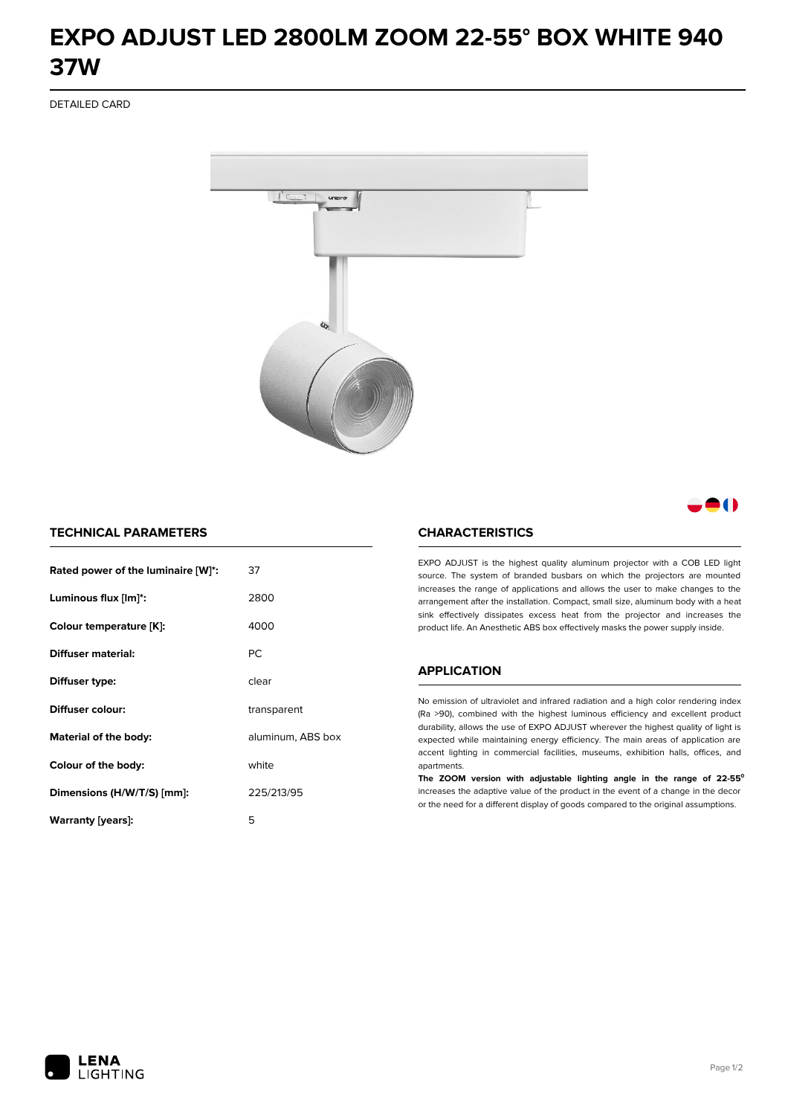# **EXPO ADJUST LED 2800LM ZOOM 22-55° BOX WHITE 940 37W**

DETAILED CARD



8 ( )

## **TECHNICAL PARAMETERS**

| Rated power of the luminaire [W]*: | 37                |
|------------------------------------|-------------------|
| Luminous flux [lm]*:               | 2800              |
| Colour temperature [K]:            | 4000              |
| Diffuser material:                 | <b>PC</b>         |
| Diffuser type:                     | clear             |
| Diffuser colour:                   | transparent       |
| Material of the body:              | aluminum, ABS box |
| Colour of the body:                | white             |
| Dimensions (H/W/T/S) [mm]:         | 225/213/95        |
| Warranty [years]:                  | 5                 |

#### **CHARACTERISTICS**

EXPO ADJUST is the highest quality aluminum projector with a COB LED light source. The system of branded busbars on which the projectors are mounted increases the range of applications and allows the user to make changes to the arrangement after the installation. Compact, small size, aluminum body with a heat sink effectively dissipates excess heat from the projector and increases the product life. An Anesthetic ABS box effectively masks the power supply inside.

#### **APPLICATION**

No emission of ultraviolet and infrared radiation and a high color rendering index (Ra >90), combined with the highest luminous efficiency and excellent product durability, allows the use of EXPO ADJUST wherever the highest quality of light is expected while maintaining energy efficiency. The main areas of application are accent lighting in commercial facilities, museums, exhibition halls, offices, and apartments.

**The ZOOM version with adjustable lighting angle in the range of 22-55⁰** increases the adaptive value of the product in the event of a change in the decor or the need for a different display of goods compared to the original assumptions.